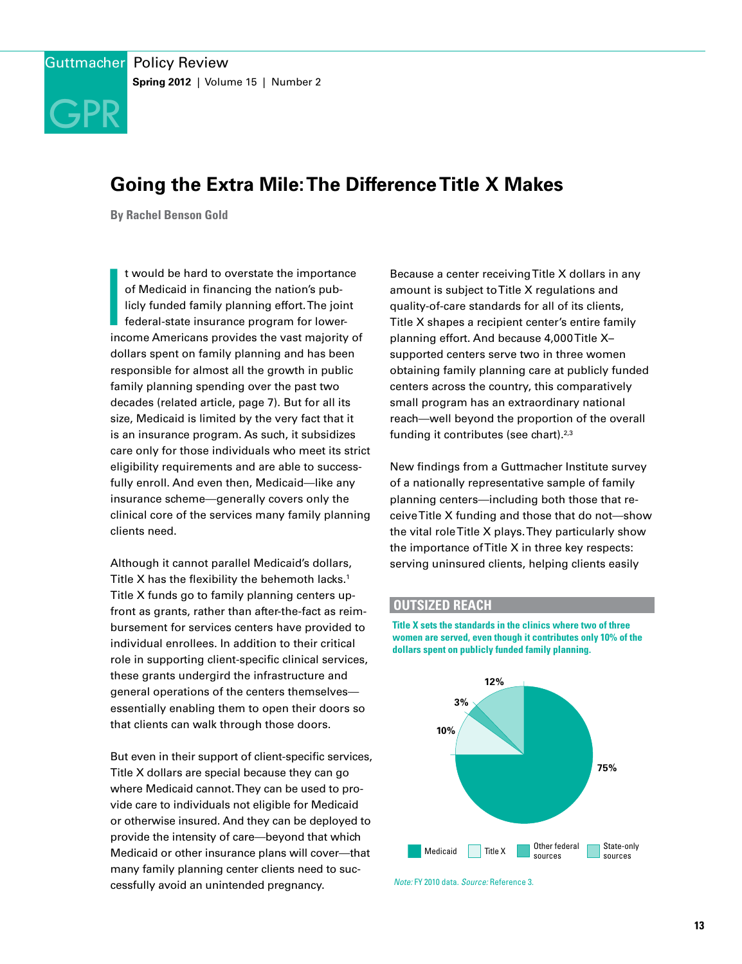

# **Going the Extra Mile: The Difference Title X Makes**

**By Rachel Benson Gold**

|<br>|<br>inc t would be hard to overstate the importance of Medicaid in financing the nation's publicly funded family planning effort. The joint federal-state insurance program for lowerincome Americans provides the vast majority of dollars spent on family planning and has been responsible for almost all the growth in public family planning spending over the past two decades (related article, page 7). But for all its size, Medicaid is limited by the very fact that it is an insurance program. As such, it subsidizes care only for those individuals who meet its strict eligibility requirements and are able to successfully enroll. And even then, Medicaid—like any insurance scheme—generally covers only the clinical core of the services many family planning clients need.

Although it cannot parallel Medicaid's dollars, Title X has the flexibility the behemoth lacks.<sup>1</sup> Title X funds go to family planning centers upfront as grants, rather than after-the-fact as reimbursement for services centers have provided to individual enrollees. In addition to their critical role in supporting client-specific clinical services, these grants undergird the infrastructure and general operations of the centers themselves essentially enabling them to open their doors so that clients can walk through those doors.

But even in their support of client-specific services, Title X dollars are special because they can go where Medicaid cannot. They can be used to provide care to individuals not eligible for Medicaid or otherwise insured. And they can be deployed to provide the intensity of care—beyond that which Medicaid or other insurance plans will cover—that many family planning center clients need to successfully avoid an unintended pregnancy.

Because a center receiving Title X dollars in any amount is subject to Title X regulations and quality-of-care standards for all of its clients, Title X shapes a recipient center's entire family planning effort. And because 4,000 Title X– supported centers serve two in three women obtaining family planning care at publicly funded centers across the country, this comparatively small program has an extraordinary national reach—well beyond the proportion of the overall funding it contributes (see chart).<sup>2,3</sup>

New findings from a Guttmacher Institute survey of a nationally representative sample of family planning centers—including both those that receive Title X funding and those that do not—show the vital role Title X plays. They particularly show the importance of Title X in three key respects: serving uninsured clients, helping clients easily

#### **OUTSIZED REACH**

**Title X sets the standards in the clinics where two of three women are served, even though it contributes only 10% of the dollars spent on publicly funded family planning.**



*Note:* FY 2010 data. *Source:* Reference 3.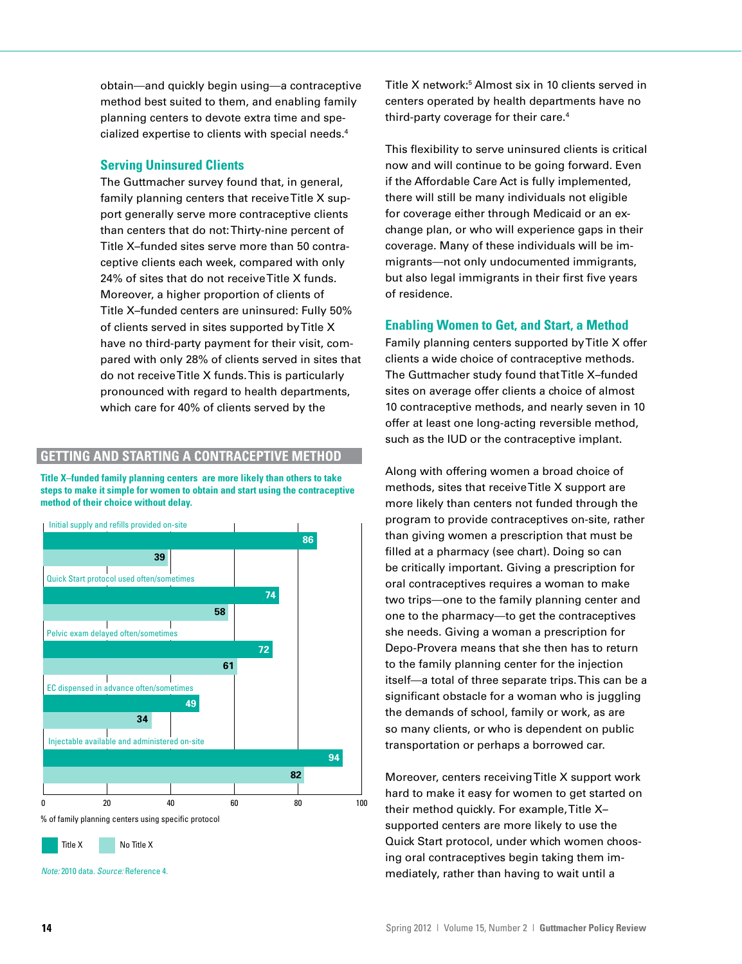obtain—and quickly begin using—a contraceptive method best suited to them, and enabling family planning centers to devote extra time and specialized expertise to clients with special needs.4

## **Serving Uninsured Clients**

The Guttmacher survey found that, in general, family planning centers that receive Title X support generally serve more contraceptive clients than centers that do not: Thirty-nine percent of Title X–funded sites serve more than 50 contraceptive clients each week, compared with only 24% of sites that do not receive Title X funds. Moreover, a higher proportion of clients of Title X–funded centers are uninsured: Fully 50% of clients served in sites supported by Title X have no third-party payment for their visit, compared with only 28% of clients served in sites that do not receive Title X funds. This is particularly pronounced with regard to health departments, which care for 40% of clients served by the

# **GETTING AND STARTING A CONTRACEPTIVE METHOD**

**Title X–funded family planning centers are more likely than others to take steps to make it simple for women to obtain and start using the contraceptive method of their choice without delay.**



Title X No Title X

*Note:* 2010 data. *Source:* Reference 4.

Title X network:5 Almost six in 10 clients served in centers operated by health departments have no third-party coverage for their care.4

This flexibility to serve uninsured clients is critical now and will continue to be going forward. Even if the Affordable Care Act is fully implemented, there will still be many individuals not eligible for coverage either through Medicaid or an exchange plan, or who will experience gaps in their coverage. Many of these individuals will be immigrants—not only undocumented immigrants, but also legal immigrants in their first five years of residence.

# **Enabling Women to Get, and Start, a Method**

Family planning centers supported by Title X offer clients a wide choice of contraceptive methods. The Guttmacher study found that Title X–funded sites on average offer clients a choice of almost 10 contraceptive methods, and nearly seven in 10 offer at least one long-acting reversible method, such as the IUD or the contraceptive implant.

Along with offering women a broad choice of methods, sites that receive Title X support are more likely than centers not funded through the program to provide contraceptives on-site, rather than giving women a prescription that must be filled at a pharmacy (see chart). Doing so can be critically important. Giving a prescription for oral contraceptives requires a woman to make two trips—one to the family planning center and one to the pharmacy—to get the contraceptives she needs. Giving a woman a prescription for Depo-Provera means that she then has to return to the family planning center for the injection itself—a total of three separate trips. This can be a significant obstacle for a woman who is juggling the demands of school, family or work, as are so many clients, or who is dependent on public transportation or perhaps a borrowed car.

Moreover, centers receiving Title X support work hard to make it easy for women to get started on their method quickly. For example, Title X– supported centers are more likely to use the Quick Start protocol, under which women choosing oral contraceptives begin taking them immediately, rather than having to wait until a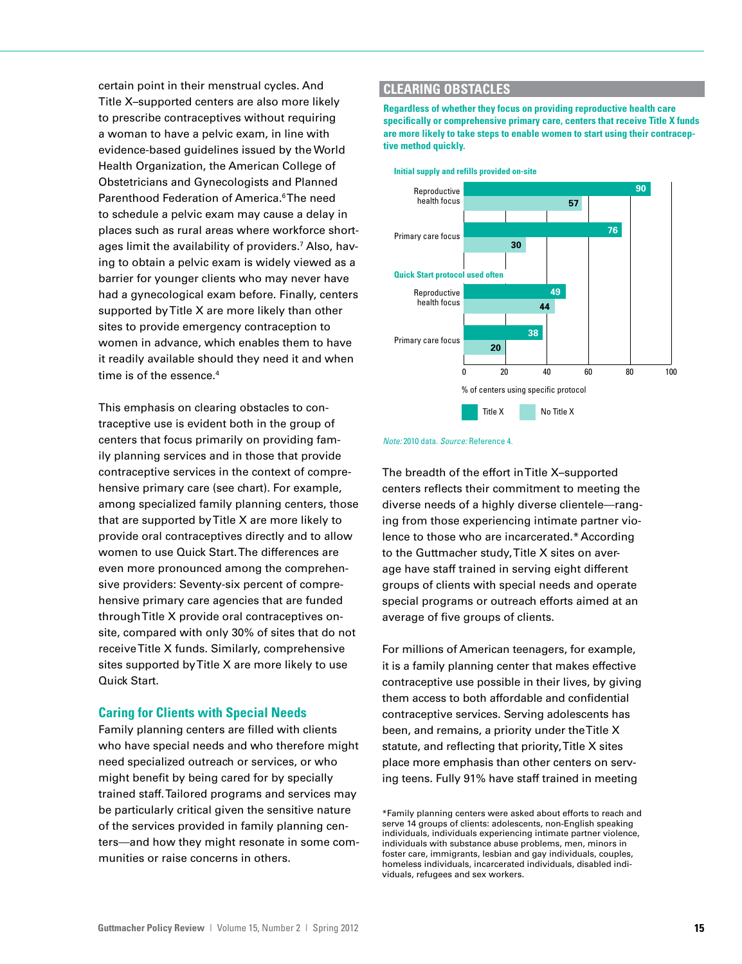certain point in their menstrual cycles. And Title X–supported centers are also more likely to prescribe contraceptives without requiring a woman to have a pelvic exam, in line with evidence-based guidelines issued by the World Health Organization, the American College of Obstetricians and Gynecologists and Planned Parenthood Federation of America.<sup>6</sup>The need to schedule a pelvic exam may cause a delay in places such as rural areas where workforce shortages limit the availability of providers.7 Also, having to obtain a pelvic exam is widely viewed as a barrier for younger clients who may never have had a gynecological exam before. Finally, centers supported by Title X are more likely than other sites to provide emergency contraception to women in advance, which enables them to have it readily available should they need it and when time is of the essence.<sup>4</sup>

This emphasis on clearing obstacles to contraceptive use is evident both in the group of centers that focus primarily on providing family planning services and in those that provide contraceptive services in the context of comprehensive primary care (see chart). For example, among specialized family planning centers, those that are supported by Title X are more likely to provide oral contraceptives directly and to allow women to use Quick Start. The differences are even more pronounced among the comprehensive providers: Seventy-six percent of comprehensive primary care agencies that are funded through Title X provide oral contraceptives onsite, compared with only 30% of sites that do not receive Title X funds. Similarly, comprehensive sites supported by Title X are more likely to use Quick Start.

# **Caring for Clients with Special Needs**

Family planning centers are filled with clients who have special needs and who therefore might need specialized outreach or services, or who might benefit by being cared for by specially trained staff. Tailored programs and services may be particularly critical given the sensitive nature of the services provided in family planning centers—and how they might resonate in some communities or raise concerns in others.

#### **CLEARING OBSTACLES**

**Regardless of whether they focus on providing reproductive health care specifically or comprehensive primary care, centers that receive Title X funds are more likely to take steps to enable women to start using their contraceptive method quickly.**



### **Initial supply and refills provided on-site**

#### *Note:* 2010 data. *Source:* Reference 4.

The breadth of the effort in Title X–supported centers reflects their commitment to meeting the diverse needs of a highly diverse clientele-ranging from those experiencing intimate partner violence to those who are incarcerated.\*According to the Guttmacher study, Title X sites on average have staff trained in serving eight different groups of clients with special needs and operate special programs or outreach efforts aimed at an average of five groups of clients.

For millions of American teenagers, for example, it is a family planning center that makes effective contraceptive use possible in their lives, by giving them access to both affordable and confidential contraceptive services. Serving adolescents has been, and remains, a priority under the Title X statute, and reflecting that priority, Title X sites place more emphasis than other centers on serving teens. Fully 91% have staff trained in meeting

\*Family planning centers were asked about efforts to reach and serve 14 groups of clients: adolescents, non-English speaking individuals, individuals experiencing intimate partner violence, individuals with substance abuse problems, men, minors in foster care, immigrants, lesbian and gay individuals, couples, homeless individuals, incarcerated individuals, disabled individuals, refugees and sex workers.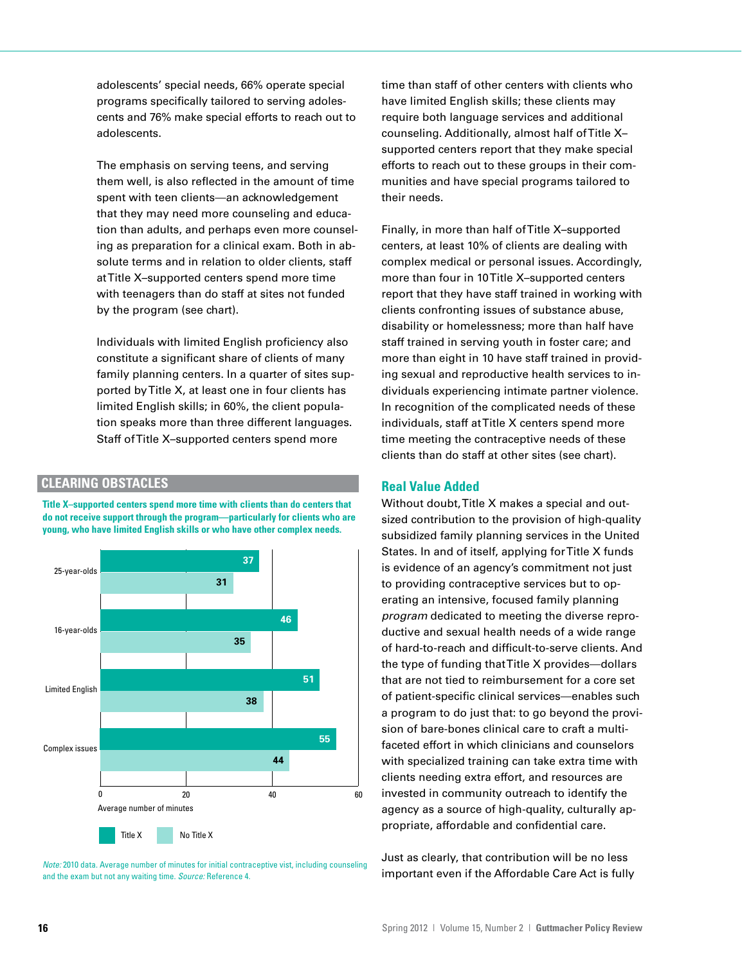adolescents' special needs, 66% operate special programs specifically tailored to serving adolescents and 76% make special efforts to reach out to adolescents.

The emphasis on serving teens, and serving them well, is also reflected in the amount of time spent with teen clients—an acknowledgement that they may need more counseling and education than adults, and perhaps even more counseling as preparation for a clinical exam. Both in absolute terms and in relation to older clients, staff at Title X–supported centers spend more time with teenagers than do staff at sites not funded by the program (see chart).

Individuals with limited English proficiency also constitute a significant share of clients of many family planning centers. In a quarter of sites supported by Title X, at least one in four clients has limited English skills; in 60%, the client population speaks more than three different languages. Staff of Title X–supported centers spend more

# **CLEARING OBSTACLES**

**Title X–supported centers spend more time with clients than do centers that do not receive support through the program—particularly for clients who are young, who have limited English skills or who have other complex needs.**



*Note:* 2010 data. Average number of minutes for initial contraceptive vist, including counseling and the exam but not any waiting time. *Source:* Reference 4.

time than staff of other centers with clients who have limited English skills; these clients may require both language services and additional counseling. Additionally, almost half of Title X– supported centers report that they make special efforts to reach out to these groups in their communities and have special programs tailored to their needs.

Finally, in more than half of Title X–supported centers, at least 10% of clients are dealing with complex medical or personal issues. Accordingly, more than four in 10 Title X–supported centers report that they have staff trained in working with clients confronting issues of substance abuse, disability or homelessness; more than half have staff trained in serving youth in foster care; and more than eight in 10 have staff trained in providing sexual and reproductive health services to individuals experiencing intimate partner violence. In recognition of the complicated needs of these individuals, staff at Title X centers spend more time meeting the contraceptive needs of these clients than do staff at other sites (see chart).

#### **Real Value Added**

Without doubt, Title X makes a special and outsized contribution to the provision of high-quality subsidized family planning services in the United States. In and of itself, applying for Title X funds is evidence of an agency's commitment not just to providing contraceptive services but to operating an intensive, focused family planning *program* dedicated to meeting the diverse reproductive and sexual health needs of a wide range of hard-to-reach and difficult-to-serve clients. And the type of funding that Title X provides—dollars that are not tied to reimbursement for a core set of patient-specific clinical services—enables such a program to do just that: to go beyond the provision of bare-bones clinical care to craft a multifaceted effort in which clinicians and counselors with specialized training can take extra time with clients needing extra effort, and resources are invested in community outreach to identify the agency as a source of high-quality, culturally appropriate, affordable and confidential care.

Just as clearly, that contribution will be no less important even if the Affordable Care Act is fully